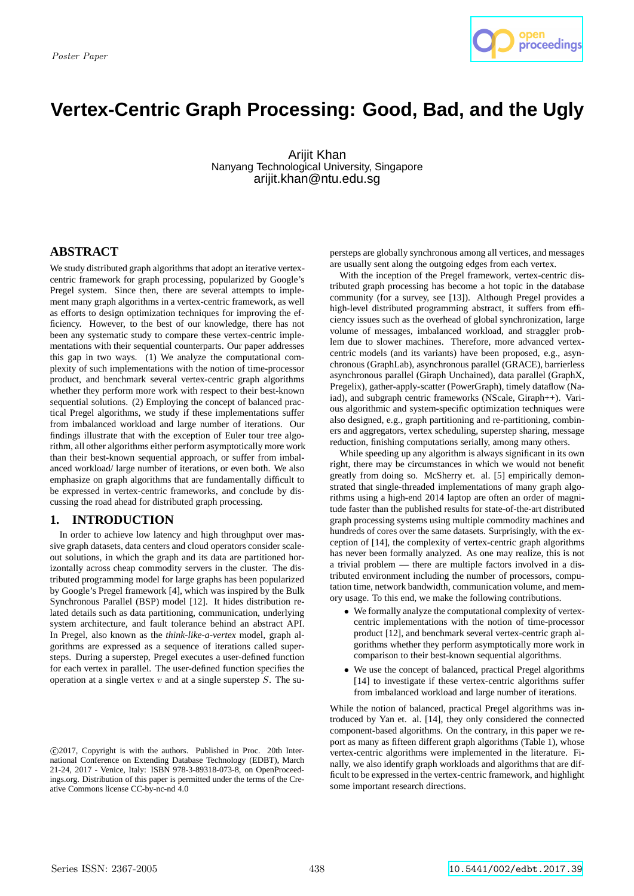

# **Vertex-Centric Graph Processing: Good, Bad, and the Ugly**

Arijit Khan Nanyang Technological University, Singapore arijit.khan@ntu.edu.sg

# **ABSTRACT**

We study distributed graph algorithms that adopt an iterative vertexcentric framework for graph processing, popularized by Google's Pregel system. Since then, there are several attempts to implement many graph algorithms in a vertex-centric framework, as well as efforts to design optimization techniques for improving the efficiency. However, to the best of our knowledge, there has not been any systematic study to compare these vertex-centric implementations with their sequential counterparts. Our paper addresses this gap in two ways. (1) We analyze the computational complexity of such implementations with the notion of time-processor product, and benchmark several vertex-centric graph algorithms whether they perform more work with respect to their best-known sequential solutions. (2) Employing the concept of balanced practical Pregel algorithms, we study if these implementations suffer from imbalanced workload and large number of iterations. Our findings illustrate that with the exception of Euler tour tree algorithm, all other algorithms either perform asymptotically more work than their best-known sequential approach, or suffer from imbalanced workload/ large number of iterations, or even both. We also emphasize on graph algorithms that are fundamentally difficult to be expressed in vertex-centric frameworks, and conclude by discussing the road ahead for distributed graph processing.

# **1. INTRODUCTION**

In order to achieve low latency and high throughput over massive graph datasets, data centers and cloud operators consider scaleout solutions, in which the graph and its data are partitioned horizontally across cheap commodity servers in the cluster. The distributed programming model for large graphs has been popularized by Google's Pregel framework [4], which was inspired by the Bulk Synchronous Parallel (BSP) model [12]. It hides distribution related details such as data partitioning, communication, underlying system architecture, and fault tolerance behind an abstract API. In Pregel, also known as the *think-like-a-vertex* model, graph algorithms are expressed as a sequence of iterations called supersteps. During a superstep, Pregel executes a user-defined function for each vertex in parallel. The user-defined function specifies the operation at a single vertex  $v$  and at a single superstep  $S$ . The supersteps are globally synchronous among all vertices, and messages are usually sent along the outgoing edges from each vertex.

With the inception of the Pregel framework, vertex-centric distributed graph processing has become a hot topic in the database community (for a survey, see [13]). Although Pregel provides a high-level distributed programming abstract, it suffers from efficiency issues such as the overhead of global synchronization, large volume of messages, imbalanced workload, and straggler problem due to slower machines. Therefore, more advanced vertexcentric models (and its variants) have been proposed, e.g., asynchronous (GraphLab), asynchronous parallel (GRACE), barrierless asynchronous parallel (Giraph Unchained), data parallel (GraphX, Pregelix), gather-apply-scatter (PowerGraph), timely dataflow (Naiad), and subgraph centric frameworks (NScale, Giraph++). Various algorithmic and system-specific optimization techniques were also designed, e.g., graph partitioning and re-partitioning, combiners and aggregators, vertex scheduling, superstep sharing, message reduction, finishing computations serially, among many others.

While speeding up any algorithm is always significant in its own right, there may be circumstances in which we would not benefit greatly from doing so. McSherry et. al. [5] empirically demonstrated that single-threaded implementations of many graph algorithms using a high-end 2014 laptop are often an order of magnitude faster than the published results for state-of-the-art distributed graph processing systems using multiple commodity machines and hundreds of cores over the same datasets. Surprisingly, with the exception of [14], the complexity of vertex-centric graph algorithms has never been formally analyzed. As one may realize, this is not a trivial problem — there are multiple factors involved in a distributed environment including the number of processors, computation time, network bandwidth, communication volume, and memory usage. To this end, we make the following contributions.

- We formally analyze the computational complexity of vertexcentric implementations with the notion of time-processor product [12], and benchmark several vertex-centric graph algorithms whether they perform asymptotically more work in comparison to their best-known sequential algorithms.
- We use the concept of balanced, practical Pregel algorithms [14] to investigate if these vertex-centric algorithms suffer from imbalanced workload and large number of iterations.

While the notion of balanced, practical Pregel algorithms was introduced by Yan et. al. [14], they only considered the connected component-based algorithms. On the contrary, in this paper we report as many as fifteen different graph algorithms (Table 1), whose vertex-centric algorithms were implemented in the literature. Finally, we also identify graph workloads and algorithms that are difficult to be expressed in the vertex-centric framework, and highlight some important research directions.

c 2017, Copyright is with the authors. Published in Proc. 20th International Conference on Extending Database Technology (EDBT), March 21-24, 2017 - Venice, Italy: ISBN 978-3-89318-073-8, on OpenProceedings.org. Distribution of this paper is permitted under the terms of the Creative Commons license CC-by-nc-nd 4.0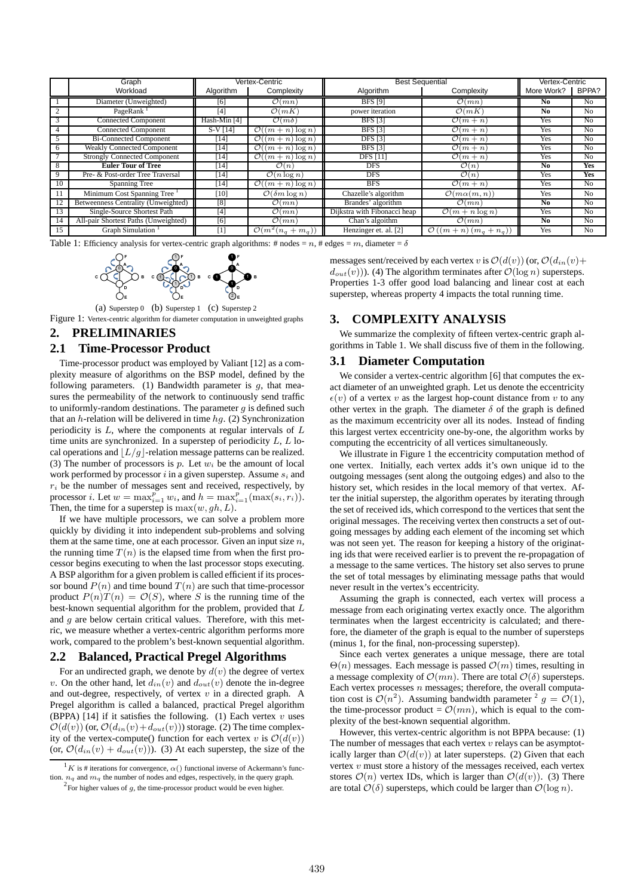|              | Graph                                   | Vertex-Centric |                                       | <b>Best Sequential</b>       |                                          | Vertex-Centric |                |
|--------------|-----------------------------------------|----------------|---------------------------------------|------------------------------|------------------------------------------|----------------|----------------|
|              | Workload                                | Algorithm      | Complexity                            | Algorithm                    | Complexity                               | More Work?     | BPPA?          |
|              | Diameter (Unweighted)                   | [6]            | $\overline{\mathcal{O}(mn)}$          | <b>BFS</b> [9]               | $\mathcal{O}(mn)$                        | No             | N <sub>0</sub> |
| <sup>2</sup> | PageRank <sup>1</sup>                   | [4]            | $\mathcal{O}(mK)$                     | power iteration              | $\mathcal{O}(mK)$                        | N <sub>0</sub> | N <sub>0</sub> |
|              | <b>Connected Component</b>              | Hash-Min [4]   | $\mathcal{O}(m\delta)$                | BFS[3]                       | $\overline{\mathcal{O}}(m+n)$            | Yes            | N <sub>0</sub> |
|              | <b>Connected Component</b>              | $S-V[14]$      | $\mathcal{O}((m+n)\log n)$            | BFS[3]                       | $\overline{\mathcal{O}}(m+n)$            | Yes            | N <sub>0</sub> |
|              | <b>Bi-Connected Component</b>           | [14]           | $\mathcal{O}((m+n)\log n)$            | <b>DFS</b> [3]               | $\mathcal{O}(m+n)$                       | Yes            | N <sub>0</sub> |
| 6            | <b>Weakly Connected Component</b>       | [14]           | $\overline{\mathcal{O}((m+n)\log n)}$ | BFS[3]                       | $\overline{\mathcal{O}}(m+n)$            | Yes            | N <sub>0</sub> |
|              | <b>Strongly Connected Component</b>     | [14]           | $\overline{\mathcal{O}((m+n)\log n)}$ | $\overline{DFS}$ [11]        | $\mathcal{O}(m+n)$                       | Yes            | N <sub>0</sub> |
| 8            | <b>Euler Tour of Tree</b>               | [14]           | $\mathcal{O}(n)$                      | DFS                          | $\mathcal{O}(n)$                         | N <sub>0</sub> | <b>Yes</b>     |
| 9            | Pre- & Post-order Tree Traversal        | 141            | $\overline{\mathcal{O}(n \log n})$    | <b>DFS</b>                   | $\mathcal{O}(n)$                         | Yes            | <b>Yes</b>     |
| 10           | Spanning Tree                           | [14]           | $\mathcal{O}((m+n)\log n)$            | <b>BFS</b>                   | $\overline{\mathcal{O}}(m+n)$            | Yes            | N <sub>0</sub> |
| 11           | Minimum Cost Spanning Tree <sup>1</sup> | [10]           | $\mathcal{O}(\delta m \log n)$        | Chazelle's algorithm         | $\mathcal{O}(m\alpha(m,n))$              | Yes            | N <sub>0</sub> |
|              | Betweenness Centrality (Unweighted)     | [8]            | $\overline{\mathcal{O}(mn)}$          | Brandes' algorithm           | $\mathcal{O}(mn)$                        | N <sub>0</sub> | No             |
| 13           | Single-Source Shortest Path             | [4]            | $\mathcal{O}(mn)$                     | Dijkstra with Fibonacci heap | $\mathcal{O}(m + n \log n)$              | Yes            | N <sub>0</sub> |
| 14           | All-pair Shortest Paths (Unweighted)    | [6]            | $\mathcal{O}(mn)$                     | Chan's algoithm              | $\mathcal{O}(mn)$                        | N <sub>0</sub> | N <sub>0</sub> |
| 15           | <b>Graph Simulation</b>                 | [1]            | $\mathcal{O}(m^2(n_q + m_q))$         | Henzinger et. al. [2]        | $\mathcal{O}\left((m+n)(m_q+n_q)\right)$ | Yes            | N <sub>0</sub> |

Table 1: Efficiency analysis for vertex-centric graph algorithms: # nodes =  $n$ , # edges =  $m$ , diameter =  $\delta$ 



(a) Superstep 0 (b) Superstep 1 (c) Superstep 2 Figure 1: Vertex-centric algorithm for diameter computation in unweighted graphs

# **2. PRELIMINARIES**

# **2.1 Time-Processor Product**

Time-processor product was employed by Valiant [12] as a complexity measure of algorithms on the BSP model, defined by the following parameters. (1) Bandwidth parameter is  $q$ , that measures the permeability of the network to continuously send traffic to uniformly-random destinations. The parameter  $g$  is defined such that an h-relation will be delivered in time  $hg.$  (2) Synchronization periodicity is L, where the components at regular intervals of L time units are synchronized. In a superstep of periodicity  $L, L$  local operations and  $|L/g|$ -relation message patterns can be realized. (3) The number of processors is p. Let  $w_i$  be the amount of local work performed by processor i in a given superstep. Assume  $s_i$  and  $r_i$  be the number of messages sent and received, respectively, by processor *i*. Let  $w = \max_{i=1}^{p} w_i$ , and  $h = \max_{i=1}^{p} (\max(s_i, r_i))$ . Then, the time for a superstep is  $\max(w, gh, L)$ .

If we have multiple processors, we can solve a problem more quickly by dividing it into independent sub-problems and solving them at the same time, one at each processor. Given an input size  $n$ , the running time  $T(n)$  is the elapsed time from when the first processor begins executing to when the last processor stops executing. A BSP algorithm for a given problem is called efficient if its processor bound  $P(n)$  and time bound  $T(n)$  are such that time-processor product  $P(n)T(n) = \mathcal{O}(S)$ , where S is the running time of the best-known sequential algorithm for the problem, provided that L and  $q$  are below certain critical values. Therefore, with this metric, we measure whether a vertex-centric algorithm performs more work, compared to the problem's best-known sequential algorithm.

# **2.2 Balanced, Practical Pregel Algorithms**

For an undirected graph, we denote by  $d(v)$  the degree of vertex v. On the other hand, let  $d_{in}(v)$  and  $d_{out}(v)$  denote the in-degree and out-degree, respectively, of vertex  $v$  in a directed graph. A Pregel algorithm is called a balanced, practical Pregel algorithm (BPPA) [14] if it satisfies the following. (1) Each vertex  $v$  uses  $\mathcal{O}(d(v))$  (or,  $\mathcal{O}(d_{in}(v)+d_{out}(v))$ ) storage. (2) The time complexity of the vertex-compute() function for each vertex v is  $\mathcal{O}(d(v))$ (or,  $\mathcal{O}(d_{in}(v) + d_{out}(v))$ ). (3) At each superstep, the size of the

messages sent/received by each vertex v is  $\mathcal{O}(d(v))$  (or,  $\mathcal{O}(d_{in}(v)+$  $d_{out}(v)$ ). (4) The algorithm terminates after  $\mathcal{O}(\log n)$  supersteps. Properties 1-3 offer good load balancing and linear cost at each superstep, whereas property 4 impacts the total running time.

# **3. COMPLEXITY ANALYSIS**

We summarize the complexity of fifteen vertex-centric graph algorithms in Table 1. We shall discuss five of them in the following.

## **3.1 Diameter Computation**

We consider a vertex-centric algorithm [6] that computes the exact diameter of an unweighted graph. Let us denote the eccentricity  $\epsilon(v)$  of a vertex v as the largest hop-count distance from v to any other vertex in the graph. The diameter  $\delta$  of the graph is defined as the maximum eccentricity over all its nodes. Instead of finding this largest vertex eccentricity one-by-one, the algorithm works by computing the eccentricity of all vertices simultaneously.

We illustrate in Figure 1 the eccentricity computation method of one vertex. Initially, each vertex adds it's own unique id to the outgoing messages (sent along the outgoing edges) and also to the history set, which resides in the local memory of that vertex. After the initial superstep, the algorithm operates by iterating through the set of received ids, which correspond to the vertices that sent the original messages. The receiving vertex then constructs a set of outgoing messages by adding each element of the incoming set which was not seen yet. The reason for keeping a history of the originating ids that were received earlier is to prevent the re-propagation of a message to the same vertices. The history set also serves to prune the set of total messages by eliminating message paths that would never result in the vertex's eccentricity.

Assuming the graph is connected, each vertex will process a message from each originating vertex exactly once. The algorithm terminates when the largest eccentricity is calculated; and therefore, the diameter of the graph is equal to the number of supersteps (minus 1, for the final, non-processing superstep).

Since each vertex generates a unique message, there are total  $\Theta(n)$  messages. Each message is passed  $\mathcal{O}(m)$  times, resulting in a message complexity of  $\mathcal{O}(mn)$ . There are total  $\mathcal{O}(\delta)$  supersteps. Each vertex processes  $n$  messages; therefore, the overall computation cost is  $O(n^2)$ . Assuming bandwidth parameter  $2 g = O(1)$ , the time-processor product =  $\mathcal{O}(mn)$ , which is equal to the complexity of the best-known sequential algorithm.

However, this vertex-centric algorithm is not BPPA because: (1) The number of messages that each vertex  $v$  relays can be asymptotically larger than  $\mathcal{O}(d(v))$  at later supersteps. (2) Given that each vertex  $v$  must store a history of the messages received, each vertex stores  $\mathcal{O}(n)$  vertex IDs, which is larger than  $\mathcal{O}(d(v))$ . (3) There are total  $\mathcal{O}(\delta)$  supersteps, which could be larger than  $\mathcal{O}(\log n)$ .

 $1_K$  is # iterations for convergence,  $\alpha()$  functional inverse of Ackermann's function.  $n_q$  and  $m_q$  the number of nodes and edges, respectively, in the query graph.

 $2\overline{P}$  For higher values of g, the time-processor product would be even higher.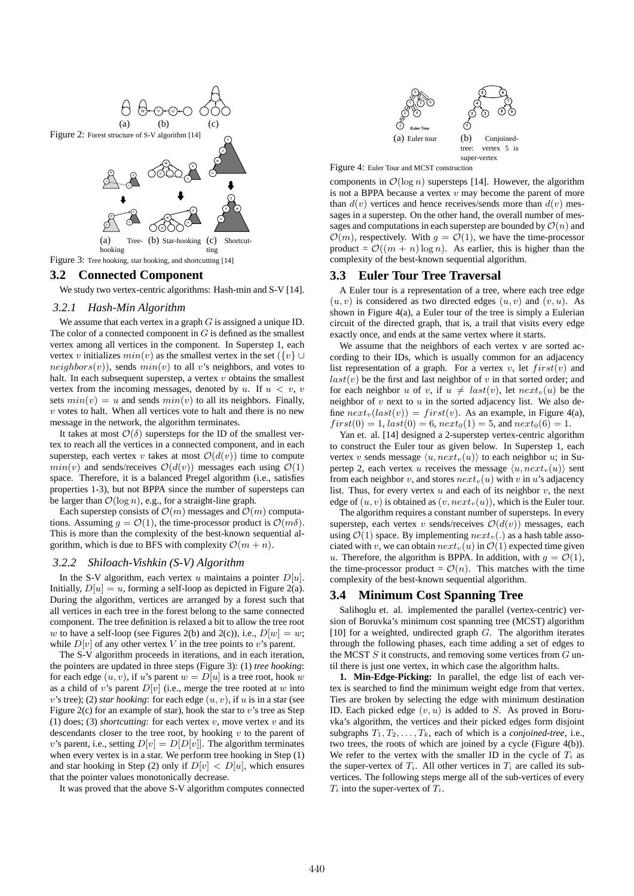

# **3.2 Connected Component**

We study two vertex-centric algorithms: Hash-min and S-V [14].

#### *3.2.1 Hash-Min Algorithm*

We assume that each vertex in a graph  $G$  is assigned a unique ID. The color of a connected component in  $G$  is defined as the smallest vertex among all vertices in the component. In Superstep 1, each vertex v initializes  $min(v)$  as the smallest vertex in the set  $({v} \cup$  $neighbors(v)$ , sends  $min(v)$  to all v's neighbors, and votes to halt. In each subsequent superstep, a vertex  $v$  obtains the smallest vertex from the incoming messages, denoted by  $u$ . If  $u < v$ ,  $v$ sets  $min(v) = u$  and sends  $min(v)$  to all its neighbors. Finally,  $v$  votes to halt. When all vertices vote to halt and there is no new message in the network, the algorithm terminates.

It takes at most  $\mathcal{O}(\delta)$  supersteps for the ID of the smallest vertex to reach all the vertices in a connected component, and in each superstep, each vertex v takes at most  $\mathcal{O}(d(v))$  time to compute  $min(v)$  and sends/receives  $\mathcal{O}(d(v))$  messages each using  $\mathcal{O}(1)$ space. Therefore, it is a balanced Pregel algorithm (i.e., satisfies properties 1-3), but not BPPA since the number of supersteps can be larger than  $\mathcal{O}(\log n)$ , e.g., for a straight-line graph.

Each superstep consists of  $\mathcal{O}(m)$  messages and  $\mathcal{O}(m)$  computations. Assuming  $q = \mathcal{O}(1)$ , the time-processor product is  $\mathcal{O}(m\delta)$ . This is more than the complexity of the best-known sequential algorithm, which is due to BFS with complexity  $\mathcal{O}(m + n)$ .

# *3.2.2 Shiloach-Vishkin (S-V) Algorithm*

In the S-V algorithm, each vertex  $u$  maintains a pointer  $D[u]$ . Initially,  $D[u] = u$ , forming a self-loop as depicted in Figure 2(a). During the algorithm, vertices are arranged by a forest such that all vertices in each tree in the forest belong to the same connected component. The tree definition is relaxed a bit to allow the tree root w to have a self-loop (see Figures 2(b) and 2(c)), i.e.,  $D[w] = w$ ; while  $D[v]$  of any other vertex V in the tree points to v's parent.

The S-V algorithm proceeds in iterations, and in each iteration, the pointers are updated in three steps (Figure 3): (1) *tree hooking*: for each edge  $(u, v)$ , if u's parent  $w = D[u]$  is a tree root, hook w as a child of v's parent  $D[v]$  (i.e., merge the tree rooted at w into v's tree); (2) *star hooking*: for each edge  $(u, v)$ , if u is in a star (see Figure 2(c) for an example of star), hook the star to  $v$ 's tree as Step (1) does; (3) *shortcutting*: for each vertex  $v$ , move vertex  $v$  and its descendants closer to the tree root, by hooking  $v$  to the parent of v's parent, i.e., setting  $D[v] = D[D[v]]$ . The algorithm terminates when every vertex is in a star. We perform tree hooking in Step (1) and star hooking in Step (2) only if  $D[v] < D[u]$ , which ensures that the pointer values monotonically decrease.

It was proved that the above S-V algorithm computes connected



Figure 4: Euler Tour and MCST construction

components in  $\mathcal{O}(\log n)$  supersteps [14]. However, the algorithm is not a BPPA because a vertex  $v$  may become the parent of more than  $d(v)$  vertices and hence receives/sends more than  $d(v)$  messages in a superstep. On the other hand, the overall number of messages and computations in each superstep are bounded by  $\mathcal{O}(n)$  and  $\mathcal{O}(m)$ , respectively. With  $g = \mathcal{O}(1)$ , we have the time-processor product =  $\mathcal{O}((m + n) \log n)$ . As earlier, this is higher than the complexity of the best-known sequential algorithm.

# **3.3 Euler Tour Tree Traversal**

A Euler tour is a representation of a tree, where each tree edge  $(u, v)$  is considered as two directed edges  $(u, v)$  and  $(v, u)$ . As shown in Figure 4(a), a Euler tour of the tree is simply a Eulerian circuit of the directed graph, that is, a trail that visits every edge exactly once, and ends at the same vertex where it starts.

We assume that the neighbors of each vertex v are sorted according to their IDs, which is usually common for an adjacency list representation of a graph. For a vertex v, let  $first(v)$  and  $last(v)$  be the first and last neighbor of v in that sorted order; and for each neighbor u of v, if  $u \neq last(v)$ , let  $next_v(u)$  be the neighbor of  $v$  next to  $u$  in the sorted adjacency list. We also define  $next_v(last(v)) = first(v)$ . As an example, in Figure 4(a),  $first(0) = 1, last(0) = 6, next_0(1) = 5, and next_0(6) = 1.$ 

Yan et. al. [14] designed a 2-superstep vertex-centric algorithm to construct the Euler tour as given below. In Superstep 1, each vertex v sends message  $\langle u, next_v(u) \rangle$  to each neighbor u; in Supertep 2, each vertex u receives the message  $\langle u, next_v(u) \rangle$  sent from each neighbor v, and stores  $next_v(u)$  with v in u's adjacency list. Thus, for every vertex  $u$  and each of its neighbor  $v$ , the next edge of  $(u, v)$  is obtained as  $(v, next_v(u))$ , which is the Euler tour.

The algorithm requires a constant number of supersteps. In every superstep, each vertex v sends/receives  $\mathcal{O}(d(v))$  messages, each using  $\mathcal{O}(1)$  space. By implementing  $next_v(.)$  as a hash table associated with v, we can obtain  $next_v(u)$  in  $\mathcal{O}(1)$  expected time given u. Therefore, the algorithm is BPPA. In addition, with  $g = \mathcal{O}(1)$ , the time-processor product =  $\mathcal{O}(n)$ . This matches with the time complexity of the best-known sequential algorithm.

## **3.4 Minimum Cost Spanning Tree**

Salihoglu et. al. implemented the parallel (vertex-centric) version of Boruvka's minimum cost spanning tree (MCST) algorithm [10] for a weighted, undirected graph  $G$ . The algorithm iterates through the following phases, each time adding a set of edges to the MCST  $S$  it constructs, and removing some vertices from  $G$  until there is just one vertex, in which case the algorithm halts.

**1. Min-Edge-Picking:** In parallel, the edge list of each vertex is searched to find the minimum weight edge from that vertex. Ties are broken by selecting the edge with minimum destination ID. Each picked edge  $(v, u)$  is added to S. As proved in Boruvka's algorithm, the vertices and their picked edges form disjoint subgraphs  $T_1, T_2, \ldots, T_k$ , each of which is a *conjoined-tree*, i.e., two trees, the roots of which are joined by a cycle (Figure 4(b)). We refer to the vertex with the smaller ID in the cycle of  $T_i$  as the super-vertex of  $T_i$ . All other vertices in  $T_i$  are called its subvertices. The following steps merge all of the sub-vertices of every  $T_i$  into the super-vertex of  $T_i$ .